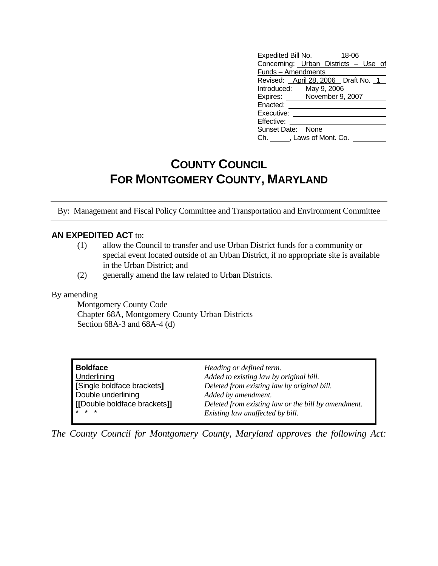| Expedited Bill No. _______ | 18-06                                |  |  |  |
|----------------------------|--------------------------------------|--|--|--|
|                            | Concerning: Urban Districts - Use of |  |  |  |
| Funds - Amendments         |                                      |  |  |  |
|                            | Revised: April 28, 2006 Draft No. 1  |  |  |  |
| Introduced: May 9, 2006    |                                      |  |  |  |
| Expires: November 9, 2007  |                                      |  |  |  |
| Enacted:                   |                                      |  |  |  |
| Executive:                 |                                      |  |  |  |
| Effective:                 |                                      |  |  |  |
| Sunset Date: None          |                                      |  |  |  |
| Ch. , Laws of Mont. Co.    |                                      |  |  |  |

## **COUNTY COUNCIL FOR MONTGOMERY COUNTY, MARYLAND**

By: Management and Fiscal Policy Committee and Transportation and Environment Committee

## **AN EXPEDITED ACT** to:

- (1) allow the Council to transfer and use Urban District funds for a community or special event located outside of an Urban District, if no appropriate site is available in the Urban District; and
- (2) generally amend the law related to Urban Districts.

## By amending

 Montgomery County Code Chapter 68A, Montgomery County Urban Districts Section 68A-3 and 68A-4 (d)

| <b>Boldface</b>              | Heading or defined term.                            |
|------------------------------|-----------------------------------------------------|
| Underlining                  | Added to existing law by original bill.             |
| [Single boldface brackets]   | Deleted from existing law by original bill.         |
| Double underlining           | Added by amendment.                                 |
| [[Double boldface brackets]] | Deleted from existing law or the bill by amendment. |
| $* * *$                      | Existing law unaffected by bill.                    |

*The County Council for Montgomery County, Maryland approves the following Act:*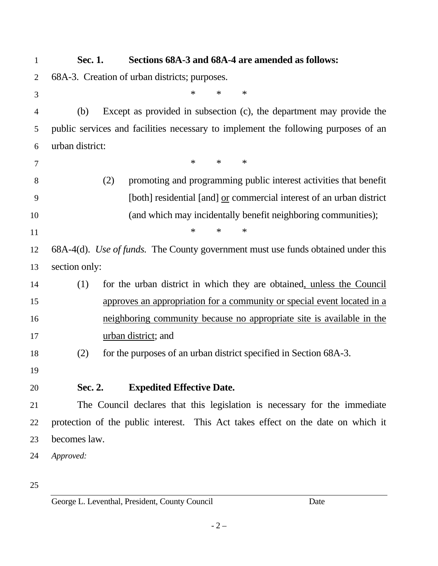| $\mathbf{1}$   | Sections 68A-3 and 68A-4 are amended as follows:<br>Sec. 1.                        |
|----------------|------------------------------------------------------------------------------------|
| $\overline{2}$ | 68A-3. Creation of urban districts; purposes.                                      |
| 3              | $\ast$<br>$\ast$<br>∗                                                              |
| $\overline{4}$ | Except as provided in subsection (c), the department may provide the<br>(b)        |
| 5              | public services and facilities necessary to implement the following purposes of an |
| 6              | urban district:                                                                    |
| 7              | $\ast$<br>$\ast$<br>∗                                                              |
| 8              | promoting and programming public interest activities that benefit<br>(2)           |
| 9              | [both] residential [and] or commercial interest of an urban district               |
| 10             | (and which may incidentally benefit neighboring communities);                      |
| 11             | $\ast$<br>$\ast$<br>$\ast$                                                         |
| 12             | 68A-4(d). Use of funds. The County government must use funds obtained under this   |
| 13             | section only:                                                                      |
| 14             | for the urban district in which they are obtained, unless the Council<br>(1)       |
| 15             | approves an appropriation for a community or special event located in a            |
| 16             | neighboring community because no appropriate site is available in the              |
| 17             | urban district; and                                                                |
| 18             | for the purposes of an urban district specified in Section 68A-3.<br>(2)           |
| 19             |                                                                                    |
| 20             | Sec. 2.<br><b>Expedited Effective Date.</b>                                        |
| 21             | The Council declares that this legislation is necessary for the immediate          |
| 22             | protection of the public interest. This Act takes effect on the date on which it   |
| 23             | becomes law.                                                                       |
| 24             | Approved:                                                                          |

25